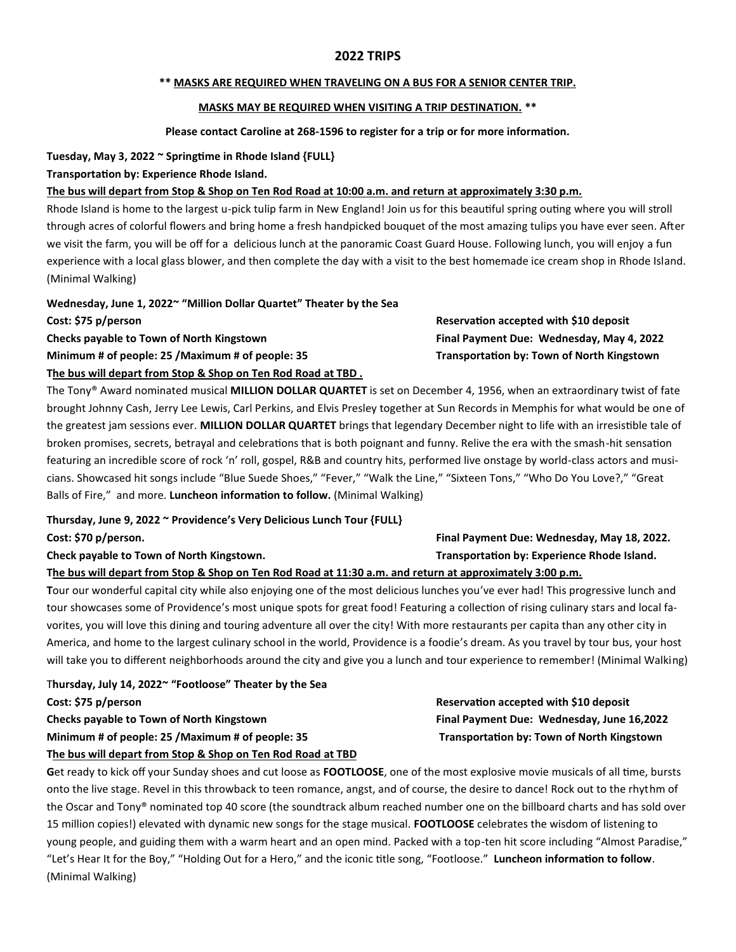# **2022 TRIPS**

#### **\*\* MASKS ARE REQUIRED WHEN TRAVELING ON A BUS FOR A SENIOR CENTER TRIP.**

# **MASKS MAY BE REQUIRED WHEN VISITING A TRIP DESTINATION. \*\***

#### **Please contact Caroline at 268-1596 to register for a trip or for more information.**

**Tuesday, May 3, 2022 ~ Springtime in Rhode Island {FULL}** 

# **Transportation by: Experience Rhode Island.**

# **The bus will depart from Stop & Shop on Ten Rod Road at 10:00 a.m. and return at approximately 3:30 p.m.**

Rhode Island is home to the largest u-pick tulip farm in New England! Join us for this beautiful spring outing where you will stroll through acres of colorful flowers and bring home a fresh handpicked bouquet of the most amazing tulips you have ever seen. After we visit the farm, you will be off for a delicious lunch at the panoramic Coast Guard House. Following lunch, you will enjoy a fun experience with a local glass blower, and then complete the day with a visit to the best homemade ice cream shop in Rhode Island. (Minimal Walking)

**Wednesday, June 1, 2022~ "Million Dollar Quartet" Theater by the Sea** 

**Cost: \$75 p/person Reservation accepted with \$10 deposit Checks payable to Town of North Kingstown Final Payment Due: Wednesday, May 4, 2022** 

**The bus will depart from Stop & Shop on Ten Rod Road at TBD .** 

The Tony® Award nominated musical **MILLION DOLLAR QUARTET** is set on December 4, 1956, when an extraordinary twist of fate brought Johnny Cash, Jerry Lee Lewis, Carl Perkins, and Elvis Presley together at Sun Records in Memphis for what would be one of the greatest jam sessions ever. **MILLION DOLLAR QUARTET** brings that legendary December night to life with an irresistible tale of broken promises, secrets, betrayal and celebrations that is both poignant and funny. Relive the era with the smash-hit sensation featuring an incredible score of rock 'n' roll, gospel, R&B and country hits, performed live onstage by world-class actors and musicians. Showcased hit songs include "Blue Suede Shoes," "Fever," "Walk the Line," "Sixteen Tons," "Who Do You Love?," "Great Balls of Fire," and more. **Luncheon information to follow.** (Minimal Walking)

**Thursday, June 9, 2022 ~ Providence's Very Delicious Lunch Tour {FULL}** 

**Cost: \$70 p/person. Final Payment Due: Wednesday, May 18, 2022.** 

# **The bus will depart from Stop & Shop on Ten Rod Road at 11:30 a.m. and return at approximately 3:00 p.m.**

**T**our our wonderful capital city while also enjoying one of the most delicious lunches you've ever had! This progressive lunch and tour showcases some of Providence's most unique spots for great food! Featuring a collection of rising culinary stars and local favorites, you will love this dining and touring adventure all over the city! With more restaurants per capita than any other city in America, and home to the largest culinary school in the world, Providence is a foodie's dream. As you travel by tour bus, your host will take you to different neighborhoods around the city and give you a lunch and tour experience to remember! (Minimal Walking)

T**hursday, July 14, 2022~ "Footloose" Theater by the Sea Cost: \$75 p/person Reservation accepted with \$10 deposit Checks payable to Town of North Kingstown Final Payment Due: Wednesday, June 16,2022**  Minimum # of people: 25 /Maximum # of people: 35 Transportation by: Town of North Kingstown

# **The bus will depart from Stop & Shop on Ten Rod Road at TBD**

**G**et ready to kick off your Sunday shoes and cut loose as **FOOTLOOSE**, one of the most explosive movie musicals of all time, bursts onto the live stage. Revel in this throwback to teen romance, angst, and of course, the desire to dance! Rock out to the rhythm of the Oscar and Tony® nominated top 40 score (the soundtrack album reached number one on the billboard charts and has sold over 15 million copies!) elevated with dynamic new songs for the stage musical. **FOOTLOOSE** celebrates the wisdom of listening to young people, and guiding them with a warm heart and an open mind. Packed with a top-ten hit score including "Almost Paradise," "Let's Hear It for the Boy," "Holding Out for a Hero," and the iconic title song, "Footloose." **Luncheon information to follow**. (Minimal Walking)

**Minimum # of people: 25 /Maximum # of people: 35 Transportation by: Town of North Kingstown** 

# Check payable to Town of North Kingstown. **The Check of Transportation by: Experience Rhode Island. Check** payable is a set of the Shand.